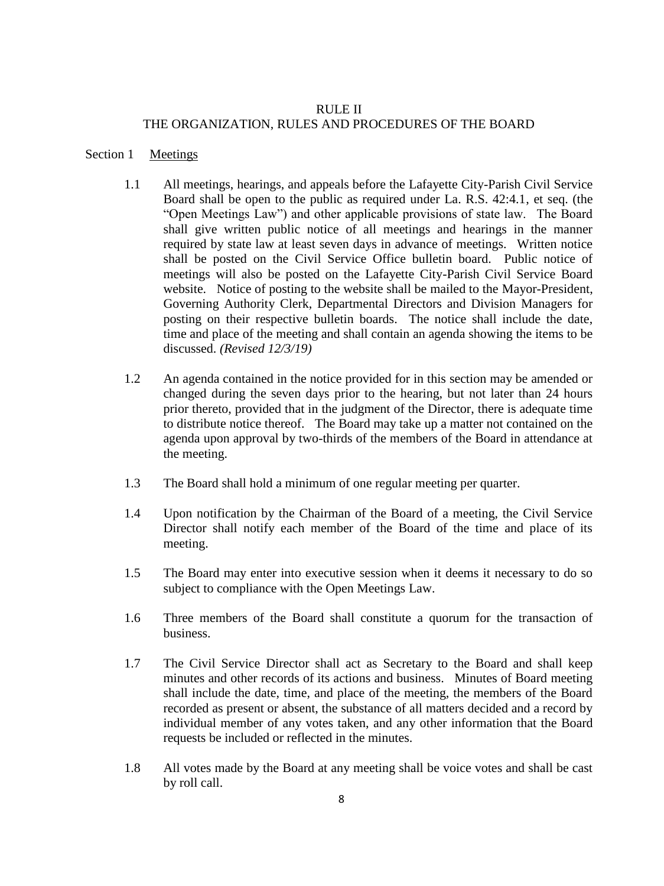## RULE II THE ORGANIZATION, RULES AND PROCEDURES OF THE BOARD

#### Section 1 Meetings

- 1.1 All meetings, hearings, and appeals before the Lafayette City-Parish Civil Service Board shall be open to the public as required under La. R.S. 42:4.1, et seq. (the "Open Meetings Law") and other applicable provisions of state law. The Board shall give written public notice of all meetings and hearings in the manner required by state law at least seven days in advance of meetings. Written notice shall be posted on the Civil Service Office bulletin board. Public notice of meetings will also be posted on the Lafayette City-Parish Civil Service Board website. Notice of posting to the website shall be mailed to the Mayor-President, Governing Authority Clerk, Departmental Directors and Division Managers for posting on their respective bulletin boards. The notice shall include the date, time and place of the meeting and shall contain an agenda showing the items to be discussed. *(Revised 12/3/19)*
- 1.2 An agenda contained in the notice provided for in this section may be amended or changed during the seven days prior to the hearing, but not later than 24 hours prior thereto, provided that in the judgment of the Director, there is adequate time to distribute notice thereof. The Board may take up a matter not contained on the agenda upon approval by two-thirds of the members of the Board in attendance at the meeting.
- 1.3 The Board shall hold a minimum of one regular meeting per quarter.
- 1.4 Upon notification by the Chairman of the Board of a meeting, the Civil Service Director shall notify each member of the Board of the time and place of its meeting.
- 1.5 The Board may enter into executive session when it deems it necessary to do so subject to compliance with the Open Meetings Law.
- 1.6 Three members of the Board shall constitute a quorum for the transaction of business.
- 1.7 The Civil Service Director shall act as Secretary to the Board and shall keep minutes and other records of its actions and business. Minutes of Board meeting shall include the date, time, and place of the meeting, the members of the Board recorded as present or absent, the substance of all matters decided and a record by individual member of any votes taken, and any other information that the Board requests be included or reflected in the minutes.
- 1.8 All votes made by the Board at any meeting shall be voice votes and shall be cast by roll call.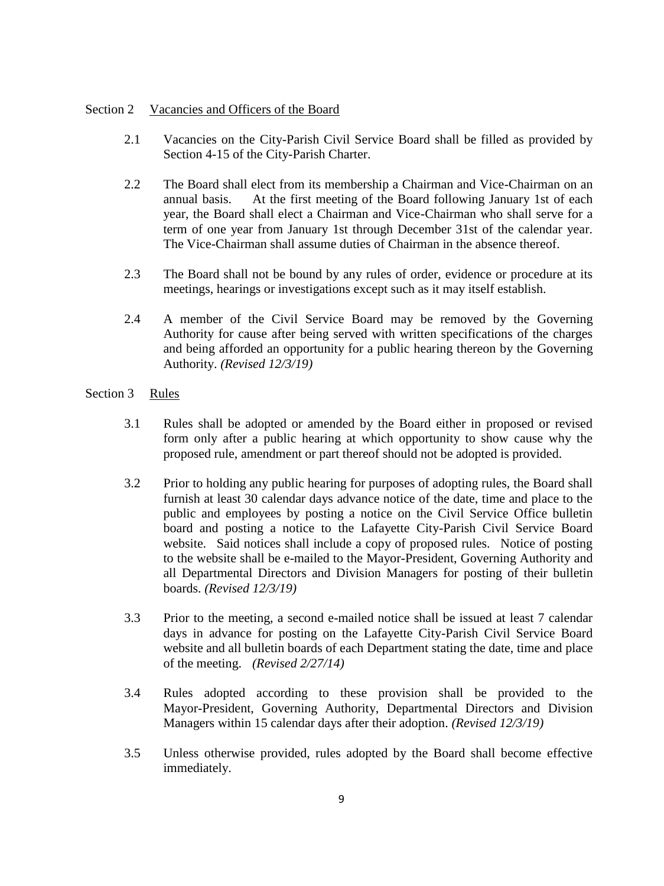### Section 2 Vacancies and Officers of the Board

- 2.1 Vacancies on the City-Parish Civil Service Board shall be filled as provided by Section 4-15 of the City-Parish Charter.
- 2.2 The Board shall elect from its membership a Chairman and Vice-Chairman on an annual basis. At the first meeting of the Board following January 1st of each year, the Board shall elect a Chairman and Vice-Chairman who shall serve for a term of one year from January 1st through December 31st of the calendar year. The Vice-Chairman shall assume duties of Chairman in the absence thereof.
- 2.3 The Board shall not be bound by any rules of order, evidence or procedure at its meetings, hearings or investigations except such as it may itself establish.
- 2.4 A member of the Civil Service Board may be removed by the Governing Authority for cause after being served with written specifications of the charges and being afforded an opportunity for a public hearing thereon by the Governing Authority. *(Revised 12/3/19)*

# Section 3 Rules

- 3.1 Rules shall be adopted or amended by the Board either in proposed or revised form only after a public hearing at which opportunity to show cause why the proposed rule, amendment or part thereof should not be adopted is provided.
- 3.2 Prior to holding any public hearing for purposes of adopting rules, the Board shall furnish at least 30 calendar days advance notice of the date, time and place to the public and employees by posting a notice on the Civil Service Office bulletin board and posting a notice to the Lafayette City-Parish Civil Service Board website. Said notices shall include a copy of proposed rules. Notice of posting to the website shall be e-mailed to the Mayor-President, Governing Authority and all Departmental Directors and Division Managers for posting of their bulletin boards. *(Revised 12/3/19)*
- 3.3 Prior to the meeting, a second e-mailed notice shall be issued at least 7 calendar days in advance for posting on the Lafayette City-Parish Civil Service Board website and all bulletin boards of each Department stating the date, time and place of the meeting. *(Revised 2/27/14)*
- 3.4 Rules adopted according to these provision shall be provided to the Mayor-President, Governing Authority, Departmental Directors and Division Managers within 15 calendar days after their adoption. *(Revised 12/3/19)*
- 3.5 Unless otherwise provided, rules adopted by the Board shall become effective immediately.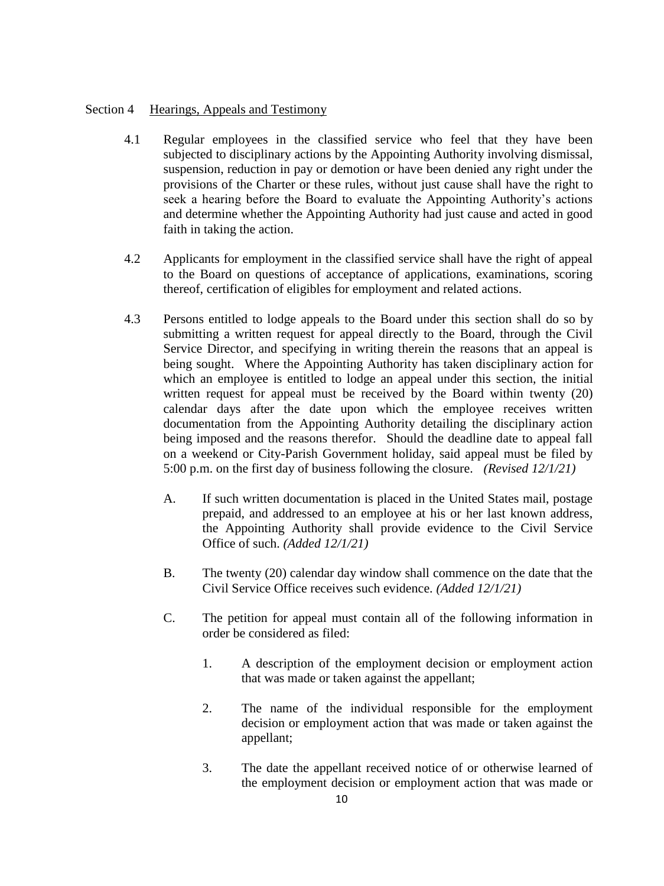### Section 4 Hearings, Appeals and Testimony

- 4.1 Regular employees in the classified service who feel that they have been subjected to disciplinary actions by the Appointing Authority involving dismissal, suspension, reduction in pay or demotion or have been denied any right under the provisions of the Charter or these rules, without just cause shall have the right to seek a hearing before the Board to evaluate the Appointing Authority's actions and determine whether the Appointing Authority had just cause and acted in good faith in taking the action.
- 4.2 Applicants for employment in the classified service shall have the right of appeal to the Board on questions of acceptance of applications, examinations, scoring thereof, certification of eligibles for employment and related actions.
- 4.3 Persons entitled to lodge appeals to the Board under this section shall do so by submitting a written request for appeal directly to the Board, through the Civil Service Director, and specifying in writing therein the reasons that an appeal is being sought. Where the Appointing Authority has taken disciplinary action for which an employee is entitled to lodge an appeal under this section, the initial written request for appeal must be received by the Board within twenty (20) calendar days after the date upon which the employee receives written documentation from the Appointing Authority detailing the disciplinary action being imposed and the reasons therefor. Should the deadline date to appeal fall on a weekend or City-Parish Government holiday, said appeal must be filed by 5:00 p.m. on the first day of business following the closure. *(Revised 12/1/21)*
	- A. If such written documentation is placed in the United States mail, postage prepaid, and addressed to an employee at his or her last known address, the Appointing Authority shall provide evidence to the Civil Service Office of such. *(Added 12/1/21)*
	- B. The twenty (20) calendar day window shall commence on the date that the Civil Service Office receives such evidence. *(Added 12/1/21)*
	- C. The petition for appeal must contain all of the following information in order be considered as filed:
		- 1. A description of the employment decision or employment action that was made or taken against the appellant;
		- 2. The name of the individual responsible for the employment decision or employment action that was made or taken against the appellant;
		- 3. The date the appellant received notice of or otherwise learned of the employment decision or employment action that was made or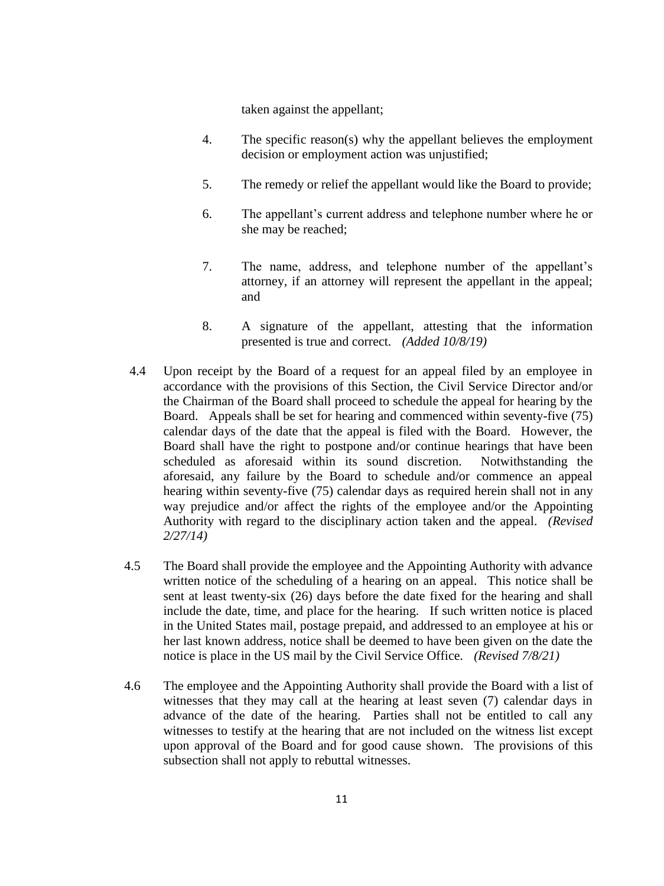taken against the appellant;

- 4. The specific reason(s) why the appellant believes the employment decision or employment action was unjustified;
- 5. The remedy or relief the appellant would like the Board to provide;
- 6. The appellant's current address and telephone number where he or she may be reached;
- 7. The name, address, and telephone number of the appellant's attorney, if an attorney will represent the appellant in the appeal; and
- 8. A signature of the appellant, attesting that the information presented is true and correct. *(Added 10/8/19)*
- 4.4 Upon receipt by the Board of a request for an appeal filed by an employee in accordance with the provisions of this Section, the Civil Service Director and/or the Chairman of the Board shall proceed to schedule the appeal for hearing by the Board. Appeals shall be set for hearing and commenced within seventy-five (75) calendar days of the date that the appeal is filed with the Board. However, the Board shall have the right to postpone and/or continue hearings that have been scheduled as aforesaid within its sound discretion. Notwithstanding the aforesaid, any failure by the Board to schedule and/or commence an appeal hearing within seventy-five (75) calendar days as required herein shall not in any way prejudice and/or affect the rights of the employee and/or the Appointing Authority with regard to the disciplinary action taken and the appeal. *(Revised 2/27/14)*
- 4.5 The Board shall provide the employee and the Appointing Authority with advance written notice of the scheduling of a hearing on an appeal. This notice shall be sent at least twenty-six (26) days before the date fixed for the hearing and shall include the date, time, and place for the hearing. If such written notice is placed in the United States mail, postage prepaid, and addressed to an employee at his or her last known address, notice shall be deemed to have been given on the date the notice is place in the US mail by the Civil Service Office. *(Revised 7/8/21)*
- 4.6 The employee and the Appointing Authority shall provide the Board with a list of witnesses that they may call at the hearing at least seven (7) calendar days in advance of the date of the hearing. Parties shall not be entitled to call any witnesses to testify at the hearing that are not included on the witness list except upon approval of the Board and for good cause shown. The provisions of this subsection shall not apply to rebuttal witnesses.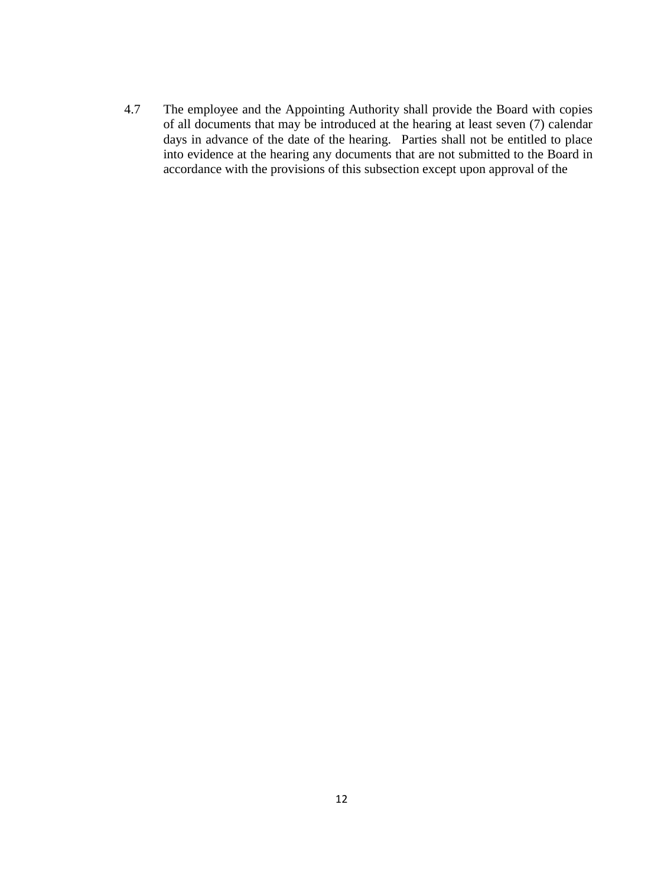4.7 The employee and the Appointing Authority shall provide the Board with copies of all documents that may be introduced at the hearing at least seven (7) calendar days in advance of the date of the hearing. Parties shall not be entitled to place into evidence at the hearing any documents that are not submitted to the Board in accordance with the provisions of this subsection except upon approval of the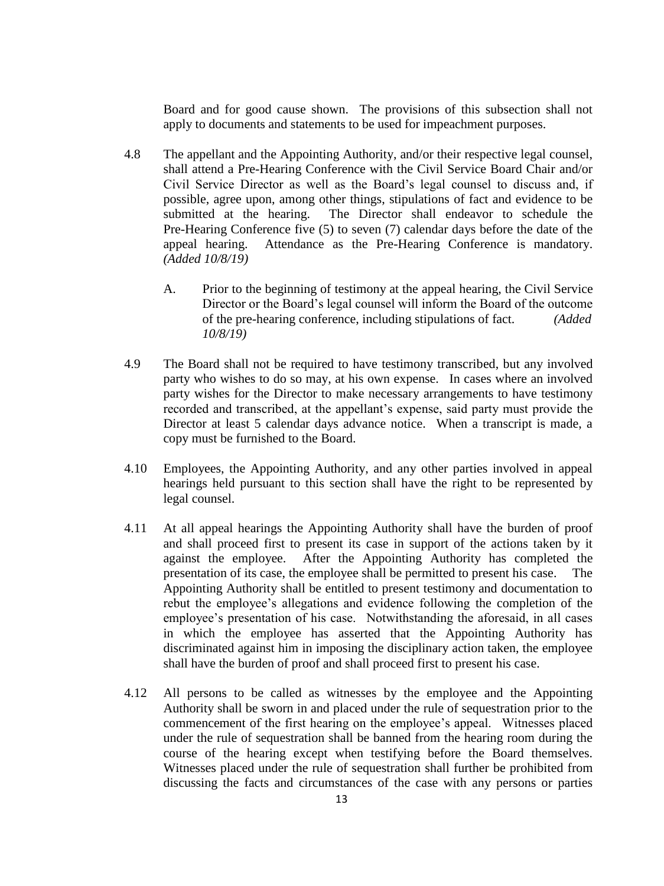Board and for good cause shown. The provisions of this subsection shall not apply to documents and statements to be used for impeachment purposes.

- 4.8 The appellant and the Appointing Authority, and/or their respective legal counsel, shall attend a Pre-Hearing Conference with the Civil Service Board Chair and/or Civil Service Director as well as the Board's legal counsel to discuss and, if possible, agree upon, among other things, stipulations of fact and evidence to be submitted at the hearing. The Director shall endeavor to schedule the Pre-Hearing Conference five (5) to seven (7) calendar days before the date of the appeal hearing. Attendance as the Pre-Hearing Conference is mandatory. *(Added 10/8/19)*
	- A. Prior to the beginning of testimony at the appeal hearing, the Civil Service Director or the Board's legal counsel will inform the Board of the outcome of the pre-hearing conference, including stipulations of fact. *(Added 10/8/19)*
- 4.9 The Board shall not be required to have testimony transcribed, but any involved party who wishes to do so may, at his own expense. In cases where an involved party wishes for the Director to make necessary arrangements to have testimony recorded and transcribed, at the appellant's expense, said party must provide the Director at least 5 calendar days advance notice. When a transcript is made, a copy must be furnished to the Board.
- 4.10 Employees, the Appointing Authority, and any other parties involved in appeal hearings held pursuant to this section shall have the right to be represented by legal counsel.
- 4.11 At all appeal hearings the Appointing Authority shall have the burden of proof and shall proceed first to present its case in support of the actions taken by it against the employee. After the Appointing Authority has completed the presentation of its case, the employee shall be permitted to present his case. The Appointing Authority shall be entitled to present testimony and documentation to rebut the employee's allegations and evidence following the completion of the employee's presentation of his case. Notwithstanding the aforesaid, in all cases in which the employee has asserted that the Appointing Authority has discriminated against him in imposing the disciplinary action taken, the employee shall have the burden of proof and shall proceed first to present his case.
- 4.12 All persons to be called as witnesses by the employee and the Appointing Authority shall be sworn in and placed under the rule of sequestration prior to the commencement of the first hearing on the employee's appeal. Witnesses placed under the rule of sequestration shall be banned from the hearing room during the course of the hearing except when testifying before the Board themselves. Witnesses placed under the rule of sequestration shall further be prohibited from discussing the facts and circumstances of the case with any persons or parties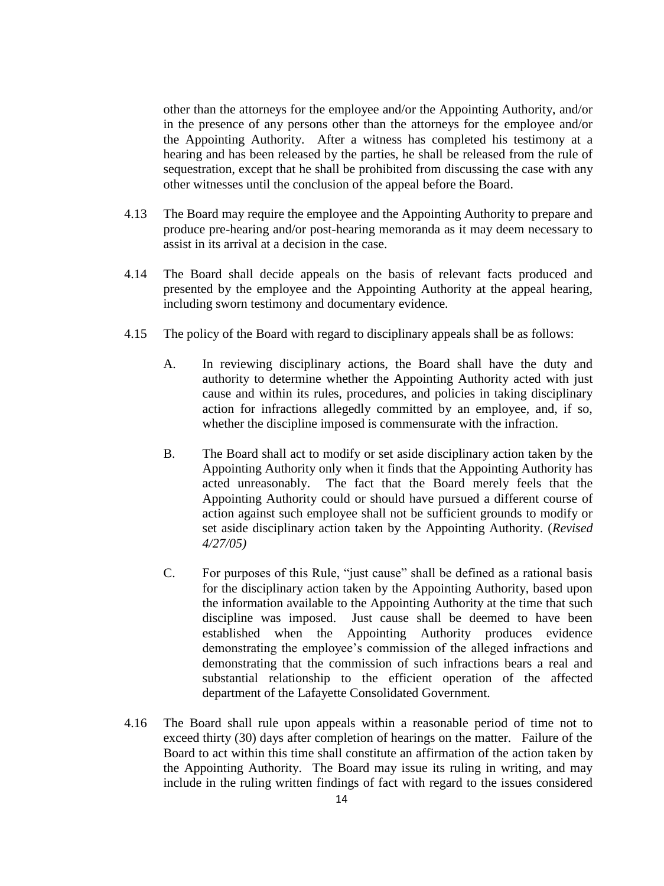other than the attorneys for the employee and/or the Appointing Authority, and/or in the presence of any persons other than the attorneys for the employee and/or the Appointing Authority. After a witness has completed his testimony at a hearing and has been released by the parties, he shall be released from the rule of sequestration, except that he shall be prohibited from discussing the case with any other witnesses until the conclusion of the appeal before the Board.

- 4.13 The Board may require the employee and the Appointing Authority to prepare and produce pre-hearing and/or post-hearing memoranda as it may deem necessary to assist in its arrival at a decision in the case.
- 4.14 The Board shall decide appeals on the basis of relevant facts produced and presented by the employee and the Appointing Authority at the appeal hearing, including sworn testimony and documentary evidence.
- 4.15 The policy of the Board with regard to disciplinary appeals shall be as follows:
	- A. In reviewing disciplinary actions, the Board shall have the duty and authority to determine whether the Appointing Authority acted with just cause and within its rules, procedures, and policies in taking disciplinary action for infractions allegedly committed by an employee, and, if so, whether the discipline imposed is commensurate with the infraction.
	- B. The Board shall act to modify or set aside disciplinary action taken by the Appointing Authority only when it finds that the Appointing Authority has acted unreasonably. The fact that the Board merely feels that the Appointing Authority could or should have pursued a different course of action against such employee shall not be sufficient grounds to modify or set aside disciplinary action taken by the Appointing Authority. (*Revised 4/27/05)*
	- C. For purposes of this Rule, "just cause" shall be defined as a rational basis for the disciplinary action taken by the Appointing Authority, based upon the information available to the Appointing Authority at the time that such discipline was imposed. Just cause shall be deemed to have been established when the Appointing Authority produces evidence demonstrating the employee's commission of the alleged infractions and demonstrating that the commission of such infractions bears a real and substantial relationship to the efficient operation of the affected department of the Lafayette Consolidated Government.
- 4.16 The Board shall rule upon appeals within a reasonable period of time not to exceed thirty (30) days after completion of hearings on the matter. Failure of the Board to act within this time shall constitute an affirmation of the action taken by the Appointing Authority. The Board may issue its ruling in writing, and may include in the ruling written findings of fact with regard to the issues considered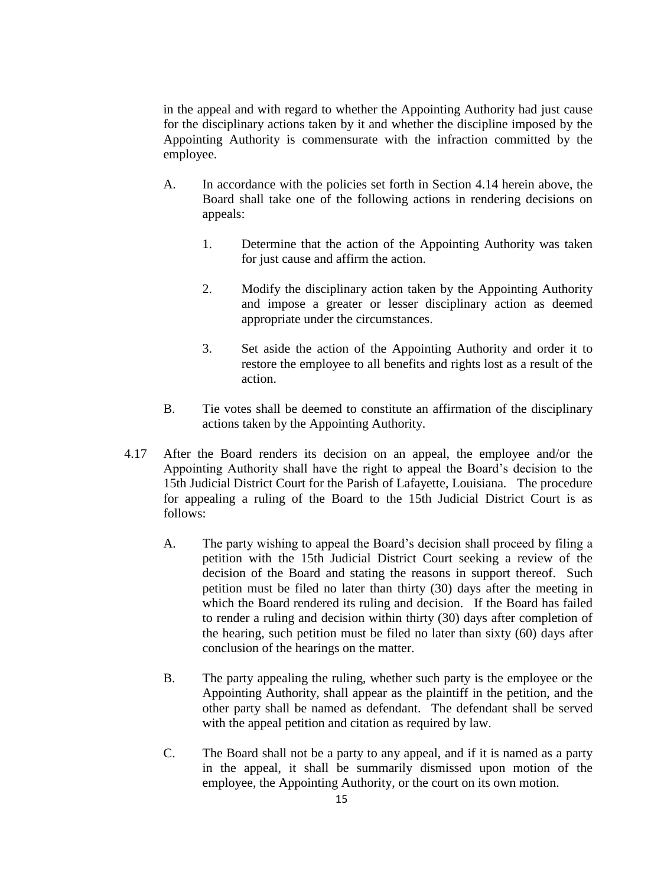in the appeal and with regard to whether the Appointing Authority had just cause for the disciplinary actions taken by it and whether the discipline imposed by the Appointing Authority is commensurate with the infraction committed by the employee.

- A. In accordance with the policies set forth in Section 4.14 herein above, the Board shall take one of the following actions in rendering decisions on appeals:
	- 1. Determine that the action of the Appointing Authority was taken for just cause and affirm the action.
	- 2. Modify the disciplinary action taken by the Appointing Authority and impose a greater or lesser disciplinary action as deemed appropriate under the circumstances.
	- 3. Set aside the action of the Appointing Authority and order it to restore the employee to all benefits and rights lost as a result of the action.
- B. Tie votes shall be deemed to constitute an affirmation of the disciplinary actions taken by the Appointing Authority.
- 4.17 After the Board renders its decision on an appeal, the employee and/or the Appointing Authority shall have the right to appeal the Board's decision to the 15th Judicial District Court for the Parish of Lafayette, Louisiana. The procedure for appealing a ruling of the Board to the 15th Judicial District Court is as follows:
	- A. The party wishing to appeal the Board's decision shall proceed by filing a petition with the 15th Judicial District Court seeking a review of the decision of the Board and stating the reasons in support thereof. Such petition must be filed no later than thirty (30) days after the meeting in which the Board rendered its ruling and decision. If the Board has failed to render a ruling and decision within thirty (30) days after completion of the hearing, such petition must be filed no later than sixty (60) days after conclusion of the hearings on the matter.
	- B. The party appealing the ruling, whether such party is the employee or the Appointing Authority, shall appear as the plaintiff in the petition, and the other party shall be named as defendant. The defendant shall be served with the appeal petition and citation as required by law.
	- C. The Board shall not be a party to any appeal, and if it is named as a party in the appeal, it shall be summarily dismissed upon motion of the employee, the Appointing Authority, or the court on its own motion.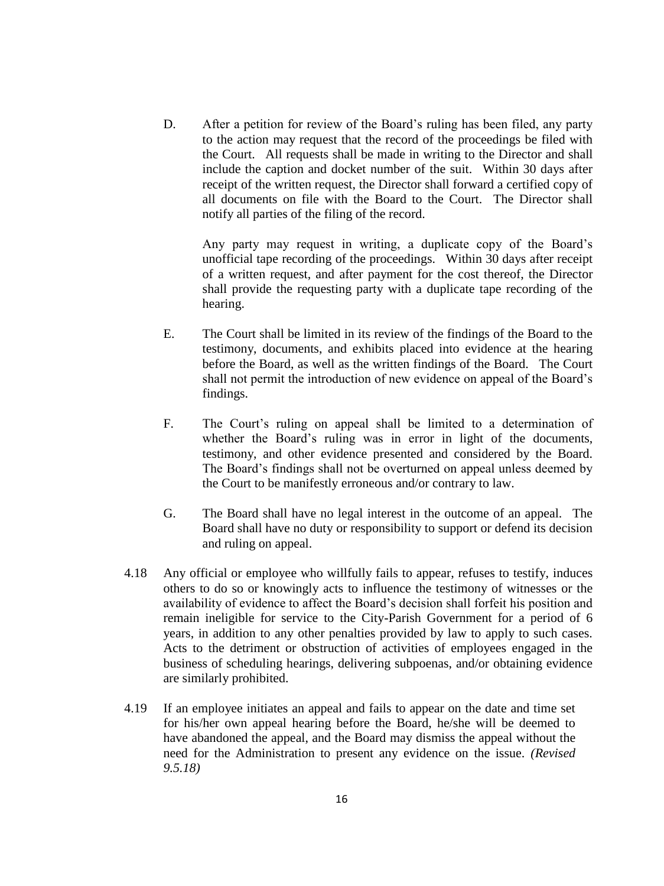D. After a petition for review of the Board's ruling has been filed, any party to the action may request that the record of the proceedings be filed with the Court. All requests shall be made in writing to the Director and shall include the caption and docket number of the suit. Within 30 days after receipt of the written request, the Director shall forward a certified copy of all documents on file with the Board to the Court. The Director shall notify all parties of the filing of the record.

Any party may request in writing, a duplicate copy of the Board's unofficial tape recording of the proceedings. Within 30 days after receipt of a written request, and after payment for the cost thereof, the Director shall provide the requesting party with a duplicate tape recording of the hearing.

- E. The Court shall be limited in its review of the findings of the Board to the testimony, documents, and exhibits placed into evidence at the hearing before the Board, as well as the written findings of the Board. The Court shall not permit the introduction of new evidence on appeal of the Board's findings.
- F. The Court's ruling on appeal shall be limited to a determination of whether the Board's ruling was in error in light of the documents, testimony, and other evidence presented and considered by the Board. The Board's findings shall not be overturned on appeal unless deemed by the Court to be manifestly erroneous and/or contrary to law.
- G. The Board shall have no legal interest in the outcome of an appeal. The Board shall have no duty or responsibility to support or defend its decision and ruling on appeal.
- 4.18 Any official or employee who willfully fails to appear, refuses to testify, induces others to do so or knowingly acts to influence the testimony of witnesses or the availability of evidence to affect the Board's decision shall forfeit his position and remain ineligible for service to the City-Parish Government for a period of 6 years, in addition to any other penalties provided by law to apply to such cases. Acts to the detriment or obstruction of activities of employees engaged in the business of scheduling hearings, delivering subpoenas, and/or obtaining evidence are similarly prohibited.
- 4.19 If an employee initiates an appeal and fails to appear on the date and time set for his/her own appeal hearing before the Board, he/she will be deemed to have abandoned the appeal, and the Board may dismiss the appeal without the need for the Administration to present any evidence on the issue. *(Revised 9.5.18)*